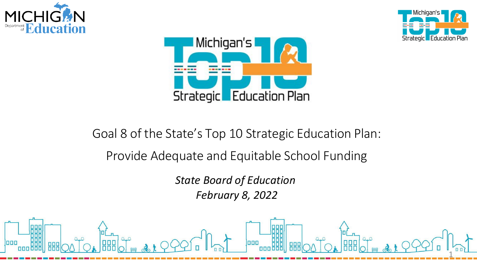





## Goal 8 of the State's Top 10 Strategic Education Plan: Provide Adequate and Equitable School Funding

**State Board of Education February 8, 2022** 

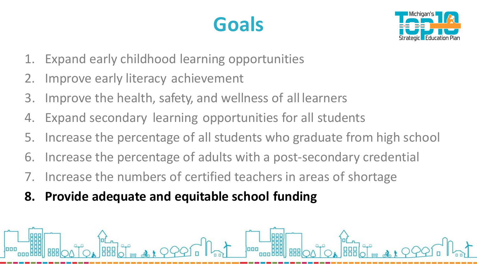# **Goals**



- 1. Expand early childhood learning opportunities
- 2. Improve early literacy achievement
- 3. Improve the health, safety, and wellness of all learners
- 4. Expand secondary learning opportunities for all students
- 

-----------------

- 5. Increase the percentage of all students who graduate from high school 6. Increase the percentage of adults with a post-secondary credential
- 7. Increase the numbers of certified teachers in areas of shortage
- **8. Provide adequate and equitable school funding**

 $\frac{1}{2}$ 

□ □ □ **L;;E;..-=.. ......... .,;ii;....~** □ □ [] **L.;:JC;..-=......IL-~aL....r**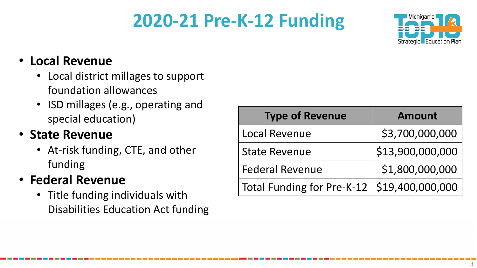## **2020-21 Pre-K-12 Funding**



### • **Local Revenue**

- Local district millages to support foundation allowances
- ISD millages (e.g., operating and special education)

## • **State Revenue**

• At-risk funding, CTE, and other funding

## • **Federal Revenue**

• Title funding individuals with Disabilities Education Act funding

| <b>Type of Revenue</b>                        | <b>Amount</b>    |
|-----------------------------------------------|------------------|
| <b>Local Revenue</b>                          | \$3,700,000,000  |
| <b>State Revenue</b>                          | \$13,900,000,000 |
| <b>Federal Revenue</b>                        | \$1,800,000,000  |
| Total Funding for Pre-K-12   \$19,400,000,000 |                  |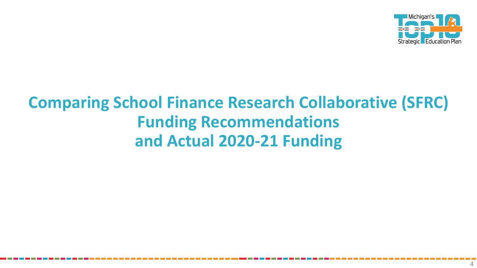

## **Comparing School Finance Research Collaborative (SFRC) Funding Recommendations** and Actual 2020-21 Funding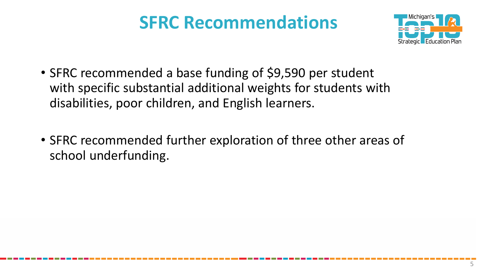## **SFRC Recommendations**



- • SFRC recommended a base funding of \$9,590 per student with specific substantial additional weights for students with disabilities, poor children, and English learners.
- • SFRC recommended further exploration of three other areas of school underfunding.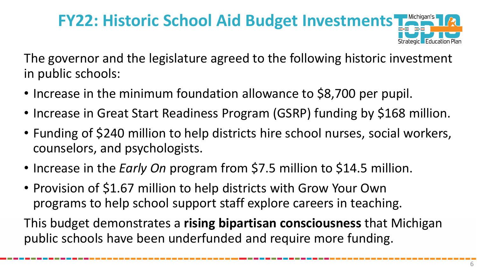### **I**d Michigan's<br>**Property of A** .~ ..... Strategic**k Education Plan FY22: Historic School Aid Budget Investments**

 The governor and the legislature agreed to the following historic investment in public schools:

- Increase in the minimum foundation allowance to \$8,700 per pupil.
- Increase in Great Start Readiness Program (GSRP) funding by \$168 million.
- • Funding of \$240 million to help districts hire school nurses, social workers, counselors, and psychologists.
- Increase in the *Early On* program from \$7.5 million to \$14.5 million.
- • Provision of \$1.67 million to help districts with Grow Your Own programs to help school support staff explore careers in teaching.

 This budget demonstrates a **rising bipartisan consciousness** that Michigan public schools have been underfunded and require more funding.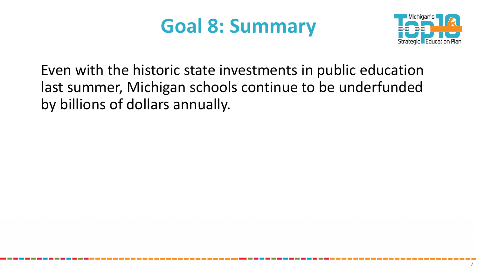# **Goal 8: Summary**



Even with the historic state investments in public education last summer, Michigan schools continue to be underfunded by billions of dollars annually.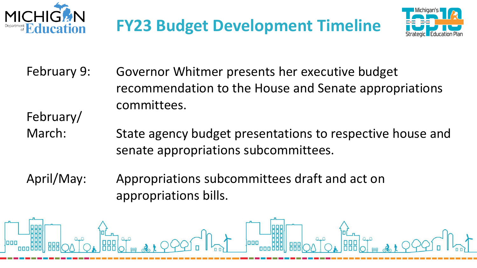





- February 9: Governor Whitmer presents her executive budget recommendation to the House and Senate appropriations committees. February/
- March: State agency budget presentations to respective house and senate appropriations subcommittees.
- April/May: Appropriations subcommittees draft and act on appropriations bills.

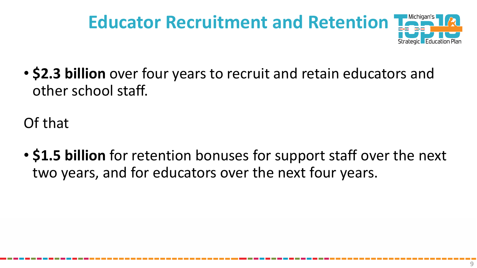# **Educator Recruitment and Retention '**

• \$2.3 billion over four years to recruit and retain educators and other school staff.

Of that

• \$1.5 billion for retention bonuses for support staff over the next two years, and for educators over the next four years.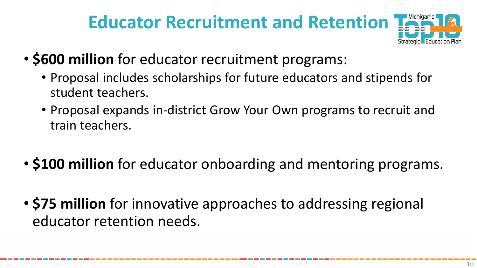## **Educator Recruitment and Retention**



- **\$600 million** for educator recruitment programs:
	- • Proposal includes scholarships for future educators and stipends for student teachers.
	- • Proposal expands in-district Grow Your Own programs to recruit and train teachers.
- **\$100 million** for educator onboarding and mentoring programs.
- • **\$75 million** for innovative approaches to addressing regional educator retention needs.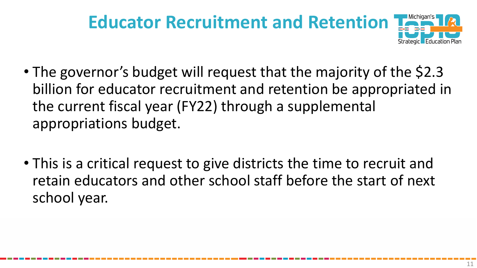### **I**d Michigan's<br>**Property of A** .~ ..... Strategic**k Education Plan Educator Recruitment and Retention**

- • The governor's budget will request that the majority of the \$2.3 the current fiscal year (FY22) through a supplemental billion for educator recruitment and retention be appropriated in appropriations budget.
- • This is a critical request to give districts the time to recruit and retain educators and other school staff before the start of next school year.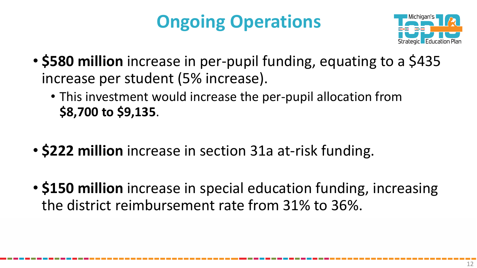# **Ongoing Operations**



- \$580 million increase in per-pupil funding, equating to a \$435 increase per student (5% increase).
	- This investment would increase the per-pupil allocation from \$8,700 to \$9,135.
- \$222 million increase in section 31a at-risk funding.
- \$150 million increase in special education funding, increasing the district reimbursement rate from 31% to 36%.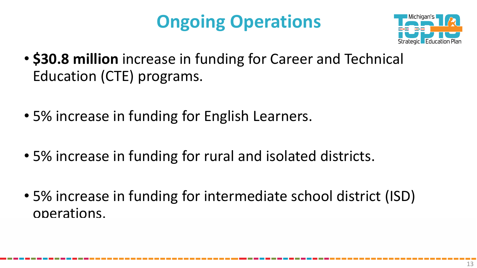## **Ongoing Operations**



- \$30.8 million increase in funding for Career and Technical Education (CTE) programs.
- 5% increase in funding for English Learners.
- 5% increase in funding for rural and isolated districts.
- 5% increase in funding for intermediate school district (ISD) operations.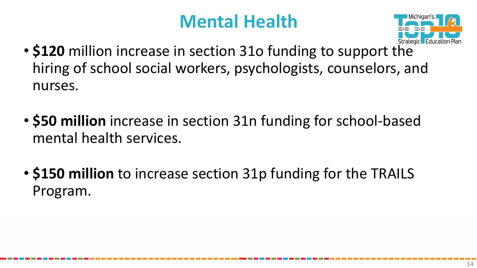## **Mental Health**



- \$120 million increase in section 310 funding to support the hiring of school social workers, psychologists, counselors, and nurses.
- \$50 million increase in section 31n funding for school-based mental health services.
- \$150 million to increase section 31p funding for the TRAILS Program.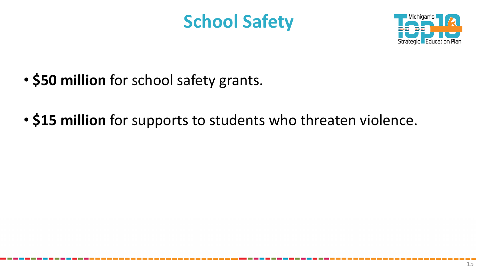## **School Safety**



- **\$50 million** for school safety grants.
- **\$15 million** for supports to students who threaten violence.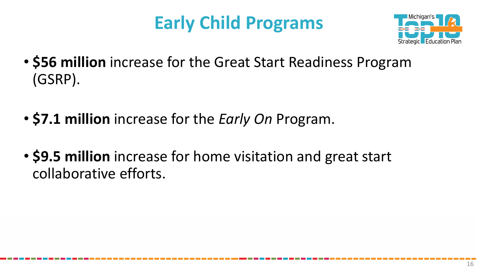## **Early Child Programs**



- \$56 million increase for the Great Start Readiness Program (GSRP).
- \$7.1 million increase for the *Early On* Program.
- \$9.5 million increase for home visitation and great start collaborative efforts.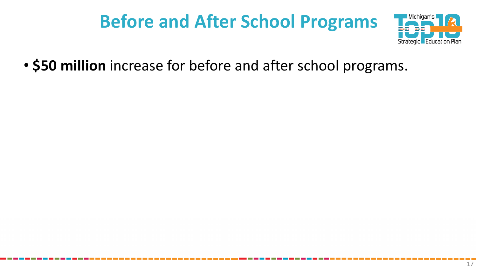## **Before and After School Programs**



• \$50 million increase for before and after school programs.